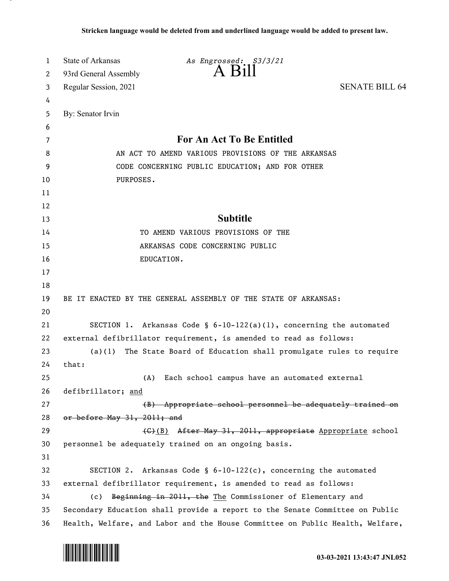| 1        | <b>State of Arkansas</b>    | As Engrossed: S3/3/21                                                         |                       |
|----------|-----------------------------|-------------------------------------------------------------------------------|-----------------------|
| 2        | 93rd General Assembly       | $A$ $B111$                                                                    |                       |
| 3        | Regular Session, 2021       |                                                                               | <b>SENATE BILL 64</b> |
| 4        |                             |                                                                               |                       |
| 5        | By: Senator Irvin           |                                                                               |                       |
| 6        |                             |                                                                               |                       |
| 7        |                             | For An Act To Be Entitled                                                     |                       |
| 8        |                             | AN ACT TO AMEND VARIOUS PROVISIONS OF THE ARKANSAS                            |                       |
| 9        |                             | CODE CONCERNING PUBLIC EDUCATION; AND FOR OTHER                               |                       |
| 10       | PURPOSES.                   |                                                                               |                       |
| 11       |                             |                                                                               |                       |
| 12       |                             |                                                                               |                       |
| 13       |                             | <b>Subtitle</b>                                                               |                       |
| 14       |                             | TO AMEND VARIOUS PROVISIONS OF THE                                            |                       |
| 15       |                             | ARKANSAS CODE CONCERNING PUBLIC                                               |                       |
| 16       | EDUCATION.                  |                                                                               |                       |
| 17       |                             |                                                                               |                       |
| 18       |                             |                                                                               |                       |
| 19       |                             | BE IT ENACTED BY THE GENERAL ASSEMBLY OF THE STATE OF ARKANSAS:               |                       |
| 20       |                             |                                                                               |                       |
| 21       |                             | SECTION 1. Arkansas Code § $6-10-122(a)(1)$ , concerning the automated        |                       |
| 22       |                             | external defibrillator requirement, is amended to read as follows:            |                       |
| 23       |                             | $(a)(1)$ The State Board of Education shall promulgate rules to require       |                       |
| 24       | that:                       |                                                                               |                       |
| 25<br>26 | (A)<br>defibrillator; and   | Each school campus have an automated external                                 |                       |
| 27       |                             | (B) Appropriate school personnel be adequately trained on                     |                       |
| 28       | or before May 31, 2011; and |                                                                               |                       |
| 29       |                             | (G)(B) After May 31, 2011, appropriate Appropriate school                     |                       |
| 30       |                             | personnel be adequately trained on an ongoing basis.                          |                       |
| 31       |                             |                                                                               |                       |
| 32       |                             | SECTION 2. Arkansas Code § $6-10-122(c)$ , concerning the automated           |                       |
| 33       |                             | external defibrillator requirement, is amended to read as follows:            |                       |
| 34       | (c)                         | Beginning in 2011, the The Commissioner of Elementary and                     |                       |
| 35       |                             | Secondary Education shall provide a report to the Senate Committee on Public  |                       |
| 36       |                             | Health, Welfare, and Labor and the House Committee on Public Health, Welfare, |                       |

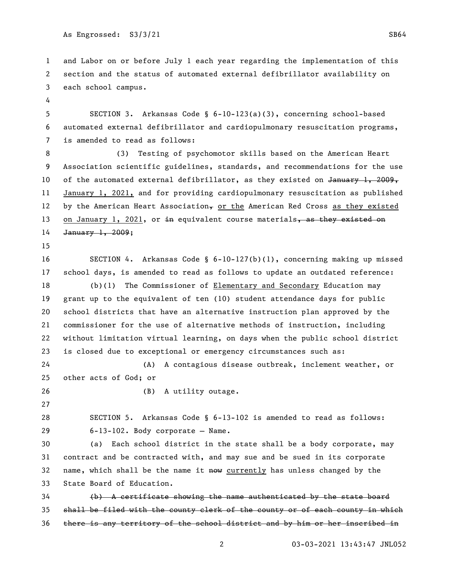and Labor on or before July 1 each year regarding the implementation of this section and the status of automated external defibrillator availability on each school campus.

 SECTION 3. Arkansas Code § 6-10-123(a)(3), concerning school-based automated external defibrillator and cardiopulmonary resuscitation programs, is amended to read as follows:

 (3) Testing of psychomotor skills based on the American Heart Association scientific guidelines, standards, and recommendations for the use 10 of the automated external defibrillator, as they existed on  $J$ <del>anuary 1, 2009,</del> January 1, 2021, and for providing cardiopulmonary resuscitation as published 12 by the American Heart Association, or the American Red Cross as they existed 13 on January 1, 2021, or in equivalent course materials, as they existed on January 1, 2009;

 SECTION 4. Arkansas Code § 6-10-127(b)(1), concerning making up missed school days, is amended to read as follows to update an outdated reference:

 (b)(1) The Commissioner of Elementary and Secondary Education may grant up to the equivalent of ten (10) student attendance days for public school districts that have an alternative instruction plan approved by the commissioner for the use of alternative methods of instruction, including without limitation virtual learning, on days when the public school district is closed due to exceptional or emergency circumstances such as:

 (A) A contagious disease outbreak, inclement weather, or other acts of God; or

(B) A utility outage.

 SECTION 5. Arkansas Code § 6-13-102 is amended to read as follows: 6-13-102. Body corporate — Name.

 (a) Each school district in the state shall be a body corporate, may contract and be contracted with, and may sue and be sued in its corporate 32 name, which shall be the name it  $n \omega$  currently has unless changed by the State Board of Education.

 (b) A certificate showing the name authenticated by the state board shall be filed with the county clerk of the county or of each county in which there is any territory of the school district and by him or her inscribed in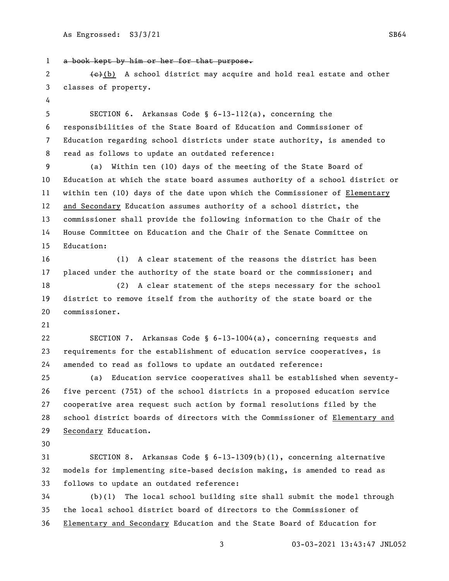a book kept by him or her for that purpose.

2 (e)(b) A school district may acquire and hold real estate and other classes of property.

 SECTION 6. Arkansas Code § 6-13-112(a), concerning the responsibilities of the State Board of Education and Commissioner of Education regarding school districts under state authority, is amended to read as follows to update an outdated reference:

 (a) Within ten (10) days of the meeting of the State Board of Education at which the state board assumes authority of a school district or within ten (10) days of the date upon which the Commissioner of Elementary and Secondary Education assumes authority of a school district, the commissioner shall provide the following information to the Chair of the House Committee on Education and the Chair of the Senate Committee on Education:

 (1) A clear statement of the reasons the district has been placed under the authority of the state board or the commissioner; and

 (2) A clear statement of the steps necessary for the school district to remove itself from the authority of the state board or the commissioner.

 SECTION 7. Arkansas Code § 6-13-1004(a), concerning requests and requirements for the establishment of education service cooperatives, is amended to read as follows to update an outdated reference:

 (a) Education service cooperatives shall be established when seventy- five percent (75%) of the school districts in a proposed education service cooperative area request such action by formal resolutions filed by the school district boards of directors with the Commissioner of Elementary and Secondary Education.

 SECTION 8. Arkansas Code § 6-13-1309(b)(1), concerning alternative models for implementing site-based decision making, is amended to read as follows to update an outdated reference:

 (b)(1) The local school building site shall submit the model through the local school district board of directors to the Commissioner of Elementary and Secondary Education and the State Board of Education for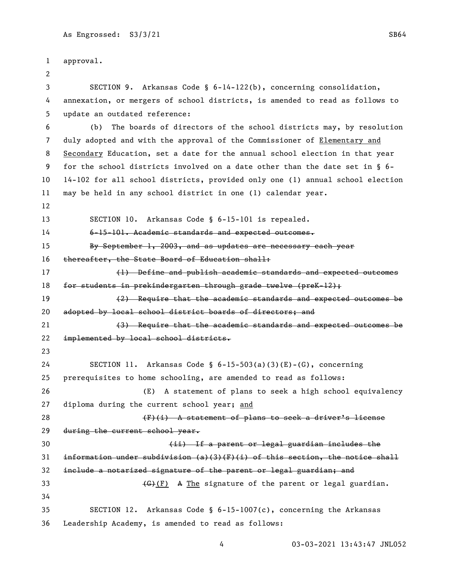approval. SECTION 9. Arkansas Code § 6-14-122(b), concerning consolidation, annexation, or mergers of school districts, is amended to read as follows to update an outdated reference: (b) The boards of directors of the school districts may, by resolution duly adopted and with the approval of the Commissioner of Elementary and Secondary Education, set a date for the annual school election in that year for the school districts involved on a date other than the date set in § 6- 14-102 for all school districts, provided only one (1) annual school election may be held in any school district in one (1) calendar year. SECTION 10. Arkansas Code § 6-15-101 is repealed. 6-15-101. Academic standards and expected outcomes. 15 By September 1, 2003, and as updates are necessary each year 16 thereafter, the State Board of Education shall: (1) Define and publish academic standards and expected outcomes for students in prekindergarten through grade twelve (preK-12); (2) Require that the academic standards and expected outcomes be adopted by local school district boards of directors; and (3) Require that the academic standards and expected outcomes be implemented by local school districts. SECTION 11. Arkansas Code § 6-15-503(a)(3)(E)-(G), concerning prerequisites to home schooling, are amended to read as follows: (E) A statement of plans to seek a high school equivalency 27 diploma during the current school year; and 28 (F)(i) A statement of plans to seek a driver's license during the current school year. (ii) If a parent or legal guardian includes the 31 information under subdivision (a)(3)(F)(i) of this section, the notice shall include a notarized signature of the parent or legal guardian; and  $\left\{\text{G}^{\circ}\right\}$  A The signature of the parent or legal guardian. SECTION 12. Arkansas Code § 6-15-1007(c), concerning the Arkansas Leadership Academy, is amended to read as follows: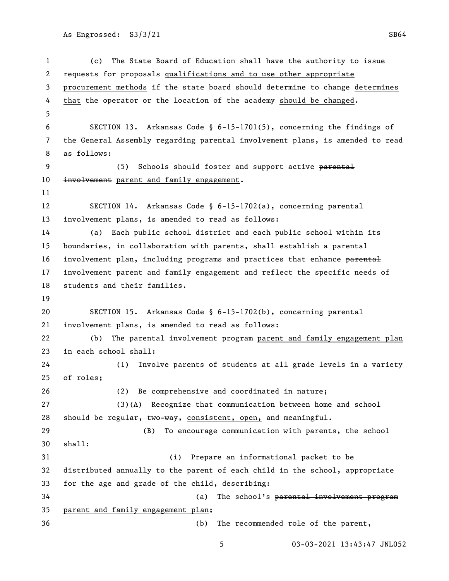```
1 (c) The State Board of Education shall have the authority to issue 
2 requests for proposals qualifications and to use other appropriate
3 procurement methods if the state board should determine to change determines
4 that the operator or the location of the academy should be changed.
5
6 SECTION 13. Arkansas Code § 6-15-1701(5), concerning the findings of 
7 the General Assembly regarding parental involvement plans, is amended to read 
8 as follows:
9 (5) Schools should foster and support active parental
10 involvement parent and family engagement.
11
12 SECTION 14. Arkansas Code § 6-15-1702(a), concerning parental 
13 involvement plans, is amended to read as follows:
14 (a) Each public school district and each public school within its 
15 boundaries, in collaboration with parents, shall establish a parental 
16 involvement plan, including programs and practices that enhance parental
17 involvement parent and family engagement and reflect the specific needs of
18 students and their families.
19
20 SECTION 15. Arkansas Code § 6-15-1702(b), concerning parental 
21 involvement plans, is amended to read as follows:
22 (b) The parental involvement program parent and family engagement plan
23 in each school shall:
24 (1) Involve parents of students at all grade levels in a variety 
25 of roles;
26 (2) Be comprehensive and coordinated in nature;
27 (3)(A) Recognize that communication between home and school 
28 should be regular, two-way, consistent, open, and meaningful.
29 (B) To encourage communication with parents, the school 
30 shall:
31 (i) Prepare an informational packet to be 
32 distributed annually to the parent of each child in the school, appropriate 
33 for the age and grade of the child, describing:
34 (a) The school's parental involvement program
35 parent and family engagement plan;
36 (b) The recommended role of the parent,
```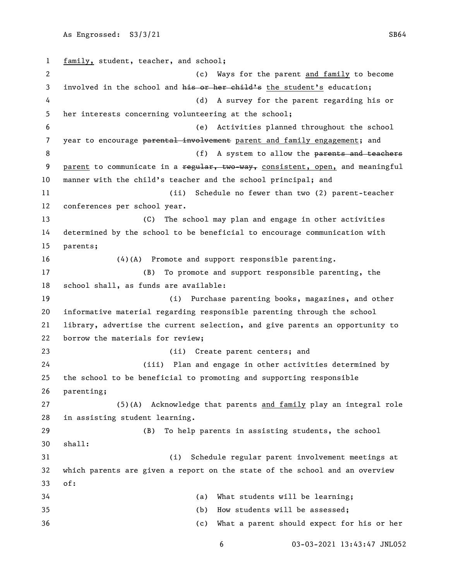family, student, teacher, and school; (c) Ways for the parent and family to become 3 involved in the school and his or her child's the student's education; (d) A survey for the parent regarding his or her interests concerning volunteering at the school; (e) Activities planned throughout the school 7 year to encourage parental involvement parent and family engagement; and 8 (f) A system to allow the parents and teachers 9 parent to communicate in a regular, two-way, consistent, open, and meaningful manner with the child's teacher and the school principal; and (ii) Schedule no fewer than two (2) parent-teacher conferences per school year. (C) The school may plan and engage in other activities determined by the school to be beneficial to encourage communication with parents; (4)(A) Promote and support responsible parenting. (B) To promote and support responsible parenting, the school shall, as funds are available: (i) Purchase parenting books, magazines, and other informative material regarding responsible parenting through the school library, advertise the current selection, and give parents an opportunity to borrow the materials for review; (ii) Create parent centers; and (iii) Plan and engage in other activities determined by the school to be beneficial to promoting and supporting responsible parenting; (5)(A) Acknowledge that parents and family play an integral role in assisting student learning. (B) To help parents in assisting students, the school shall: (i) Schedule regular parent involvement meetings at which parents are given a report on the state of the school and an overview of: (a) What students will be learning; (b) How students will be assessed; (c) What a parent should expect for his or her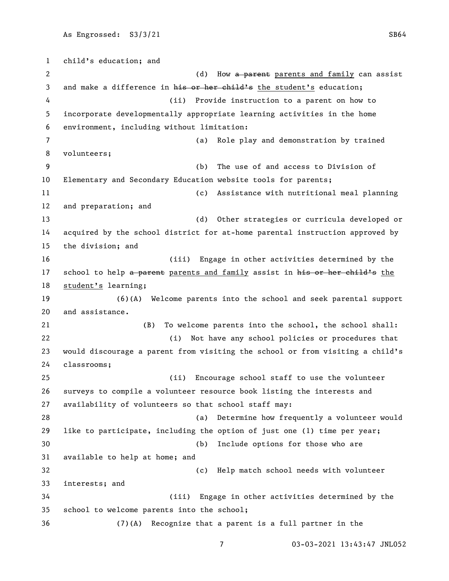child's education; and 2 a contract the contract of the MOV and the parent parents and family can assist 3 and make a difference in his or her child's the student's education; (ii) Provide instruction to a parent on how to incorporate developmentally appropriate learning activities in the home environment, including without limitation: (a) Role play and demonstration by trained volunteers; (b) The use of and access to Division of Elementary and Secondary Education website tools for parents; (c) Assistance with nutritional meal planning and preparation; and (d) Other strategies or curricula developed or acquired by the school district for at-home parental instruction approved by the division; and (iii) Engage in other activities determined by the 17 school to help a parent parents and family assist in his or her child's the student's learning; (6)(A) Welcome parents into the school and seek parental support and assistance. (B) To welcome parents into the school, the school shall: (i) Not have any school policies or procedures that would discourage a parent from visiting the school or from visiting a child's classrooms; (ii) Encourage school staff to use the volunteer surveys to compile a volunteer resource book listing the interests and availability of volunteers so that school staff may: (a) Determine how frequently a volunteer would like to participate, including the option of just one (1) time per year; (b) Include options for those who are available to help at home; and (c) Help match school needs with volunteer interests; and (iii) Engage in other activities determined by the school to welcome parents into the school; (7)(A) Recognize that a parent is a full partner in the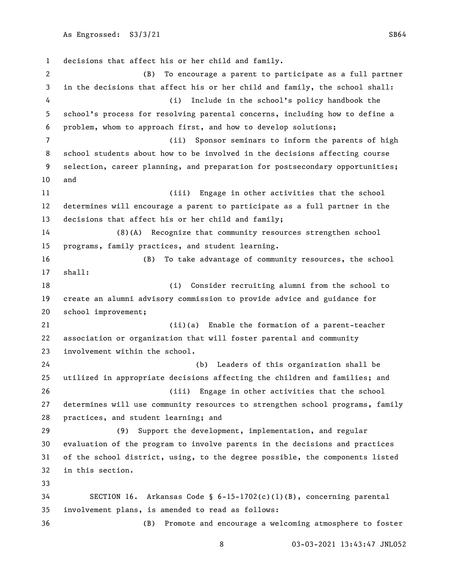decisions that affect his or her child and family. (B) To encourage a parent to participate as a full partner in the decisions that affect his or her child and family, the school shall: (i) Include in the school's policy handbook the school's process for resolving parental concerns, including how to define a problem, whom to approach first, and how to develop solutions; (ii) Sponsor seminars to inform the parents of high school students about how to be involved in the decisions affecting course selection, career planning, and preparation for postsecondary opportunities; and (iii) Engage in other activities that the school determines will encourage a parent to participate as a full partner in the decisions that affect his or her child and family; (8)(A) Recognize that community resources strengthen school programs, family practices, and student learning. (B) To take advantage of community resources, the school shall: (i) Consider recruiting alumni from the school to create an alumni advisory commission to provide advice and guidance for school improvement; (ii)(a) Enable the formation of a parent-teacher association or organization that will foster parental and community involvement within the school. (b) Leaders of this organization shall be utilized in appropriate decisions affecting the children and families; and (iii) Engage in other activities that the school determines will use community resources to strengthen school programs, family practices, and student learning; and (9) Support the development, implementation, and regular evaluation of the program to involve parents in the decisions and practices of the school district, using, to the degree possible, the components listed in this section. SECTION 16. Arkansas Code § 6-15-1702(c)(1)(B), concerning parental involvement plans, is amended to read as follows: (B) Promote and encourage a welcoming atmosphere to foster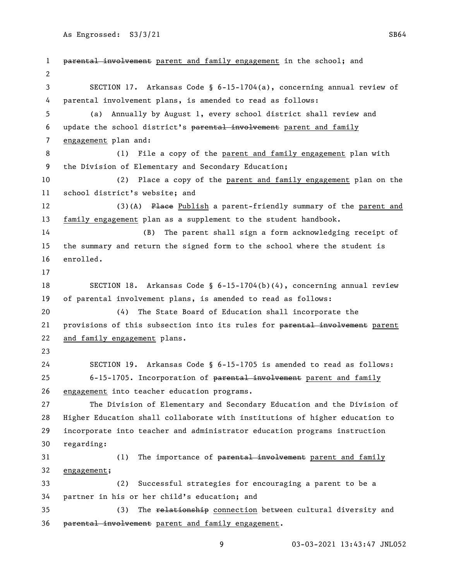1 parental involvement parent and family engagement in the school; and SECTION 17. Arkansas Code § 6-15-1704(a), concerning annual review of parental involvement plans, is amended to read as follows: (a) Annually by August 1, every school district shall review and update the school district's parental involvement parent and family engagement plan and: (1) File a copy of the parent and family engagement plan with the Division of Elementary and Secondary Education; (2) Place a copy of the parent and family engagement plan on the school district's website; and 12 (3)(A) Place Publish a parent-friendly summary of the parent and family engagement plan as a supplement to the student handbook. (B) The parent shall sign a form acknowledging receipt of the summary and return the signed form to the school where the student is enrolled. SECTION 18. Arkansas Code § 6-15-1704(b)(4), concerning annual review of parental involvement plans, is amended to read as follows: (4) The State Board of Education shall incorporate the 21 provisions of this subsection into its rules for parental involvement parent and family engagement plans. SECTION 19. Arkansas Code § 6-15-1705 is amended to read as follows: 25 6-15-1705. Incorporation of parental involvement parent and family engagement into teacher education programs. The Division of Elementary and Secondary Education and the Division of Higher Education shall collaborate with institutions of higher education to incorporate into teacher and administrator education programs instruction regarding: 31 (1) The importance of <del>parental involvement</del> parent and family engagement; (2) Successful strategies for encouraging a parent to be a partner in his or her child's education; and 35 (3) The relationship connection between cultural diversity and parental involvement parent and family engagement.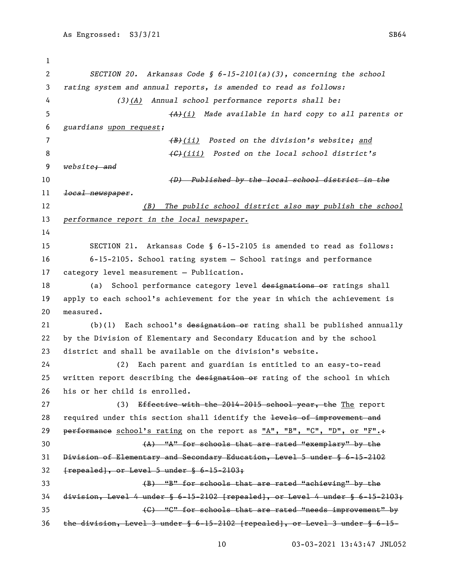*SECTION 20. Arkansas Code § 6-15-2101(a)(3), concerning the school rating system and annual reports, is amended to read as follows: (3)(A) Annual school performance reports shall be: (A)(i) Made available in hard copy to all parents or guardians upon request; (B)(ii) Posted on the division's website; and (C)(iii) Posted on the local school district's website; and (D) Published by the local school district in the local newspaper. (B) The public school district also may publish the school performance report in the local newspaper.* SECTION 21. Arkansas Code § 6-15-2105 is amended to read as follows: 6-15-2105. School rating system — School ratings and performance category level measurement — Publication. 18 (a) School performance category level designations or ratings shall apply to each school's achievement for the year in which the achievement is measured. 21 (b)(1) Each school's designation or rating shall be published annually by the Division of Elementary and Secondary Education and by the school district and shall be available on the division's website. (2) Each parent and guardian is entitled to an easy-to-read 25 written report describing the designation or rating of the school in which his or her child is enrolled. 27 (3) Effective with the 2014-2015 school year, the The report 28 required under this section shall identify the levels of improvement and 29 performance school's rating on the report as "A", "B", "C", "D", or "F". $\div$  $(A)$  "A" for schools that are rated "exemplary" by the Division of Elementary and Secondary Education, Level 5 under § 6-15-2102  ${frepeated}$ , or Level 5 under § 6-15-2103; (B) "B" for schools that are rated "achieving" by the division, Level 4 under § 6-15-2102 [repealed], or Level 4 under § 6-15-2103; (C) "C" for schools that are rated "needs improvement" by the division, Level 3 under § 6-15-2102 [repealed], or Level 3 under § 6-15-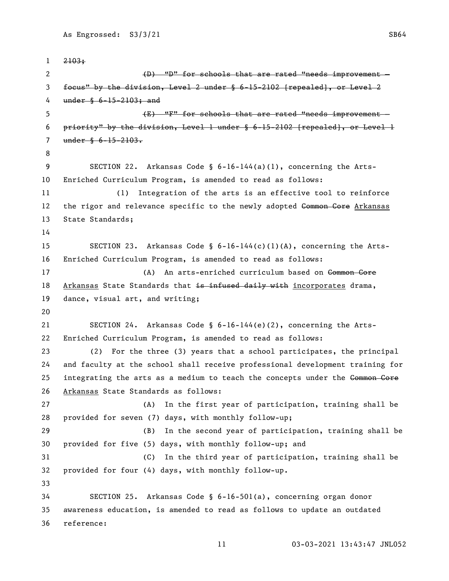```
1 2103;
 2 (D) "D" for schools that are rated "needs improvement -
3 focus" by the division, Level 2 under § 6-15-2102 [repealed], or Level 2 
4 under § 6-15-2103; and
5 (E) "F" for schools that are rated "needs improvement —
6 priority" by the division, Level 1 under § 6-15-2102 [repealed], or Level 1 
7 under § 6-15-2103.
8
9 SECTION 22. Arkansas Code § 6-16-144(a)(1), concerning the Arts-
10 Enriched Curriculum Program, is amended to read as follows:
11 (1) Integration of the arts is an effective tool to reinforce 
12 the rigor and relevance specific to the newly adopted Gommon Core Arkansas
13 State Standards;
14
15 SECTION 23. Arkansas Code § 6-16-144(c)(1)(A), concerning the Arts-
16 Enriched Curriculum Program, is amended to read as follows:
17 (A) An arts-enriched curriculum based on Common Core
18 Arkansas State Standards that is infused daily with incorporates drama,
19 dance, visual art, and writing;
20
21 SECTION 24. Arkansas Code § 6-16-144(e)(2), concerning the Arts-
22 Enriched Curriculum Program, is amended to read as follows:
23 (2) For the three (3) years that a school participates, the principal 
24 and faculty at the school shall receive professional development training for 
25 integrating the arts as a medium to teach the concepts under the Common Core
26 Arkansas State Standards as follows:
27 (A) In the first year of participation, training shall be 
28 provided for seven (7) days, with monthly follow-up;
29 (B) In the second year of participation, training shall be 
30 provided for five (5) days, with monthly follow-up; and
31 (C) In the third year of participation, training shall be 
32 provided for four (4) days, with monthly follow-up. 
33
34 SECTION 25. Arkansas Code § 6-16-501(a), concerning organ donor 
35 awareness education, is amended to read as follows to update an outdated 
36 reference:
```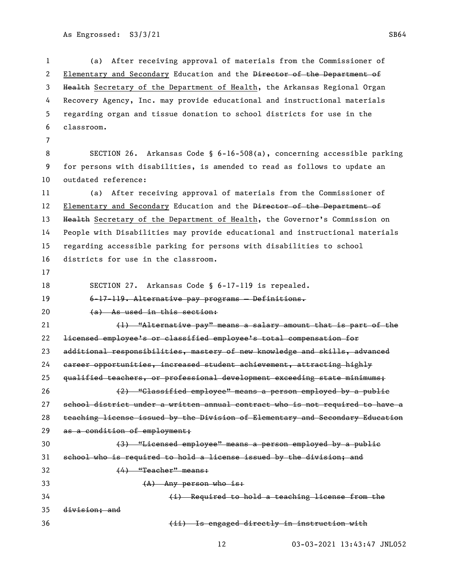(a) After receiving approval of materials from the Commissioner of 2 Elementary and Secondary Education and the Director of the Department of 3 Health Secretary of the Department of Health, the Arkansas Regional Organ Recovery Agency, Inc. may provide educational and instructional materials regarding organ and tissue donation to school districts for use in the classroom.

 SECTION 26. Arkansas Code § 6-16-508(a), concerning accessible parking for persons with disabilities, is amended to read as follows to update an outdated reference:

 (a) After receiving approval of materials from the Commissioner of 12 Elementary and Secondary Education and the Director of the Department of 13 Health Secretary of the Department of Health, the Governor's Commission on People with Disabilities may provide educational and instructional materials regarding accessible parking for persons with disabilities to school districts for use in the classroom.

SECTION 27. Arkansas Code § 6-17-119 is repealed.

6-17-119. Alternative pay programs — Definitions.

20 (a) As used in this section:

 (1) "Alternative pay" means a salary amount that is part of the licensed employee's or classified employee's total compensation for 23 additional responsibilities, mastery of new knowledge and skills, advanced career opportunities, increased student achievement, attracting highly qualified teachers, or professional development exceeding state minimums; (2) "Classified employee" means a person employed by a public school district under a written annual contract who is not required to have a teaching license issued by the Division of Elementary and Secondary Education 29 as a condition of employment; (3) "Licensed employee" means a person employed by a public

school who is required to hold a license issued by the division; and

(4) "Teacher" means:

(A) Any person who is:

 (i) Required to hold a teaching license from the division; and

(ii) Is engaged directly in instruction with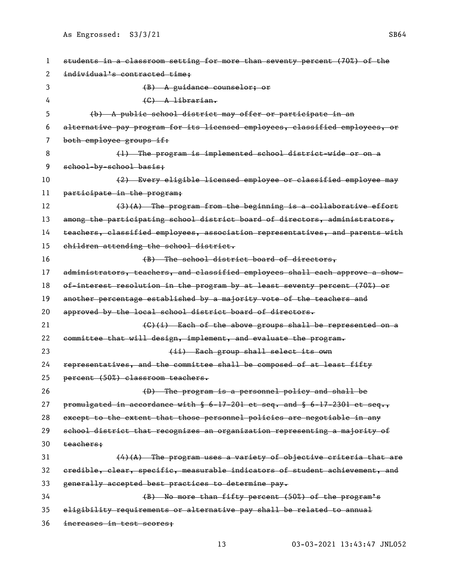| 1  | students in a classroom setting for more than seventy percent (70%) of the       |
|----|----------------------------------------------------------------------------------|
| 2  | individual's contracted time;                                                    |
| 3  | (B) A guidance counselor; or                                                     |
| 4  | $(G)$ A librarian.                                                               |
| 5  | (b) A public school district may offer or participate in an                      |
| 6  | alternative pay program for its licensed employees, classified employees, or     |
| 7  | both employee groups if:                                                         |
| 8  | (1) The program is implemented school district wide or on a                      |
| 9  | school-by-school basis:                                                          |
| 10 | (2) Every eligible licensed employee or classified employee may                  |
| 11 | participate in the program;                                                      |
| 12 | $(3)$ $(A)$ The program from the beginning is a collaborative effort             |
| 13 | among the participating school district board of directors, administrators,      |
| 14 | teachers, classified employees, association representatives, and parents with    |
| 15 | children attending the school district.                                          |
| 16 | (B) The school district board of directors,                                      |
| 17 | administrators, teachers, and classified employees shall each approve a show-    |
| 18 | of-interest resolution in the program by at least seventy percent (70%) or       |
| 19 | another percentage established by a majority vote of the teachers and            |
| 20 | approved by the local school district board of directors.                        |
| 21 | (C)(i) Each of the above groups shall be represented on a                        |
| 22 | committee that will design, implement, and evaluate the program.                 |
| 23 | (ii) Each group shall select its own                                             |
| 24 | representatives, and the committee shall be composed of at least fifty           |
| 25 | percent (50%) classroom teachers.                                                |
| 26 | (D) The program is a personnel policy and shall be                               |
| 27 | promulgated in accordance with $\S$ 6-17-201 et seq. and $\S$ 6-17-2301 et seq., |
| 28 | except to the extent that those personnel policies are negotiable in any         |
| 29 | school district that recognizes an organization representing a majority of       |
| 30 | teachers;                                                                        |
| 31 | $(4)(A)$ The program uses a variety of objective criteria that are               |
| 32 | eredible, clear, specific, measurable indicators of student achievement, and     |
| 33 | generally accepted best practices to determine pay.                              |
| 34 | (B) No more than fifty percent (50%) of the program's                            |
| 35 | eligibility requirements or alternative pay shall be related to annual           |
| 36 | increases in test scores;                                                        |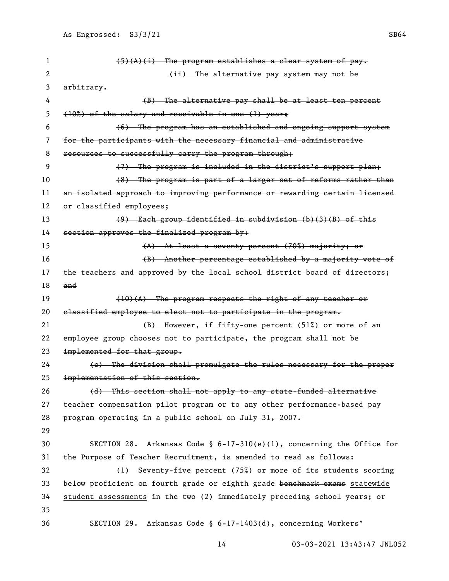(5)(A)(i) The program establishes a clear system of pay. 2 and the alternative pay system may not be  $\{ii\}$ . The alternative pay system may not be arbitrary. (B) The alternative pay shall be at least ten percent (10%) of the salary and receivable in one (1) year; (6) The program has an established and ongoing support system for the participants with the necessary financial and administrative 8 resources to successfully carry the program through; (7) The program is included in the district's support plan; 10 (8) The program is part of a larger set of reforms rather than an isolated approach to improving performance or rewarding certain licensed 12 or classified employees; (9) Each group identified in subdivision (b)(3)(B) of this 14 section approves the finalized program by: (A) At least a seventy percent (70%) majority; or (B) Another percentage established by a majority vote of 17 the teachers and approved by the local school district board of directors; and  $(10)(A)$  The program respects the right of any teacher or classified employee to elect not to participate in the program. 21 (B) However, if fifty-one percent (51%) or more of an employee group chooses not to participate, the program shall not be implemented for that group. (c) The division shall promulgate the rules necessary for the proper implementation of this section. 26 (d) This section shall not apply to any state-funded alternative teacher compensation pilot program or to any other performance-based pay program operating in a public school on July 31, 2007. SECTION 28. Arkansas Code § 6-17-310(e)(1), concerning the Office for the Purpose of Teacher Recruitment, is amended to read as follows: (1) Seventy-five percent (75%) or more of its students scoring 33 below proficient on fourth grade or eighth grade benchmark exams statewide student assessments in the two (2) immediately preceding school years; or SECTION 29. Arkansas Code § 6-17-1403(d), concerning Workers'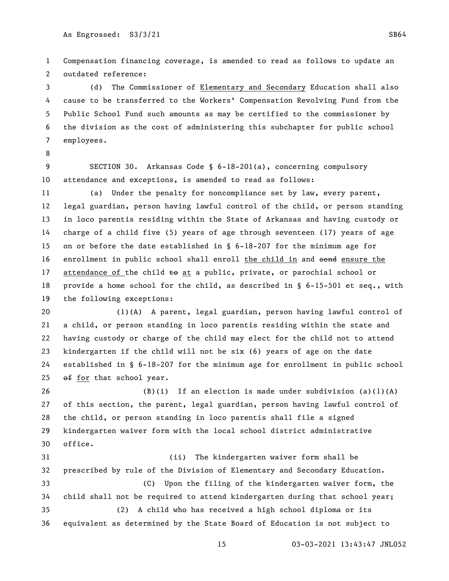Compensation financing coverage, is amended to read as follows to update an outdated reference:

 (d) The Commissioner of Elementary and Secondary Education shall also cause to be transferred to the Workers' Compensation Revolving Fund from the Public School Fund such amounts as may be certified to the commissioner by the division as the cost of administering this subchapter for public school employees.

 SECTION 30. Arkansas Code § 6-18-201(a), concerning compulsory attendance and exceptions, is amended to read as follows:

 (a) Under the penalty for noncompliance set by law, every parent, legal guardian, person having lawful control of the child, or person standing in loco parentis residing within the State of Arkansas and having custody or charge of a child five (5) years of age through seventeen (17) years of age on or before the date established in § 6-18-207 for the minimum age for enrollment in public school shall enroll the child in and send ensure the 17 attendance of the child  $\pm$ o at a public, private, or parochial school or provide a home school for the child, as described in § 6-15-501 et seq., with the following exceptions:

 (1)(A) A parent, legal guardian, person having lawful control of a child, or person standing in loco parentis residing within the state and having custody or charge of the child may elect for the child not to attend kindergarten if the child will not be six (6) years of age on the date established in § 6-18-207 for the minimum age for enrollment in public school  $ef$  for that school year.

 (B)(i) If an election is made under subdivision (a)(1)(A) of this section, the parent, legal guardian, person having lawful control of the child, or person standing in loco parentis shall file a signed kindergarten waiver form with the local school district administrative office.

 (ii) The kindergarten waiver form shall be prescribed by rule of the Division of Elementary and Secondary Education. (C) Upon the filing of the kindergarten waiver form, the child shall not be required to attend kindergarten during that school year; (2) A child who has received a high school diploma or its equivalent as determined by the State Board of Education is not subject to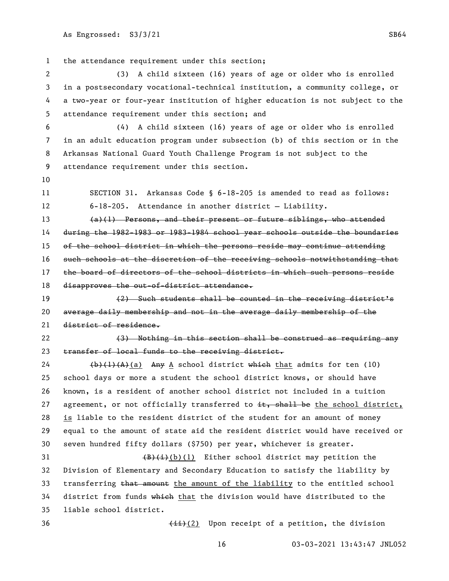the attendance requirement under this section;

 (3) A child sixteen (16) years of age or older who is enrolled in a postsecondary vocational-technical institution, a community college, or a two-year or four-year institution of higher education is not subject to the attendance requirement under this section; and

 (4) A child sixteen (16) years of age or older who is enrolled in an adult education program under subsection (b) of this section or in the Arkansas National Guard Youth Challenge Program is not subject to the attendance requirement under this section.

 SECTION 31. Arkansas Code § 6-18-205 is amended to read as follows: 6-18-205. Attendance in another district — Liability.

 (a)(1) Persons, and their present or future siblings, who attended during the 1982-1983 or 1983-1984 school year schools outside the boundaries 15 of the school district in which the persons reside may continue attending such schools at the discretion of the receiving schools notwithstanding that 17 the board of directors of the school districts in which such persons reside 18 disapproves the out-of-district attendance.

 (2) Such students shall be counted in the receiving district's average daily membership and not in the average daily membership of the district of residence.

22 (3) Nothing in this section shall be construed as requiring any 23 transfer of local funds to the receiving district.

 $\left(\frac{b}{1}(A)(A)(a)\right)$  Any A school district which that admits for ten (10) school days or more a student the school district knows, or should have known, is a resident of another school district not included in a tuition 27 agreement, or not officially transferred to  $\pm \epsilon$ , shall be the school district, is liable to the resident district of the student for an amount of money equal to the amount of state aid the resident district would have received or seven hundred fifty dollars (\$750) per year, whichever is greater.

 $\left(\frac{B}{t}\right)(b)(1)$  Either school district may petition the Division of Elementary and Secondary Education to satisfy the liability by 33 transferring that amount the amount of the liability to the entitled school district from funds which that the division would have distributed to the liable school district.

36 (ii)(2) Upon receipt of a petition, the division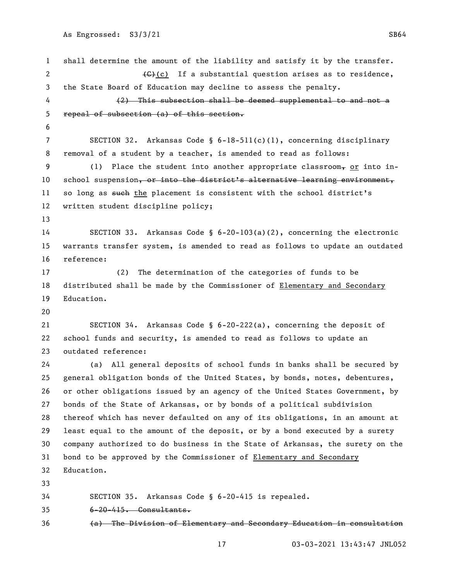```
1 shall determine the amount of the liability and satisfy it by the transfer.
 2 \left\{\left(\begin{array}{ccc} \left(\begin{array}{ccc} \left(\begin{array}{ccc} \left(\begin{array}{ccc} \left(\begin{array}{ccc} \left(\begin{array}{ccc} \left(\begin{array}{ccc} \left(\begin{array}{ccc} \left(\begin{array}{ccc} \left(\begin{array}{ccc} \left(\begin{array}{ccc} \left(\begin{array}{ccc} \left(\begin{array}{ccc} \left(\begin{array}{ccc} \left(\begin{array}{ccc} \left(\begin{array}{ccc} \left(\begin{array}{ccc} \left(\begin{array}{ccc} \left(\begin{array}{ccc} \left(\begin{array}{ccc} \left(\begin{array}{ccc} \left(\begin{array}{ccc} \left(\begin{array}{ccc} \left(\begin{array}{ccc3 the State Board of Education may decline to assess the penalty.
 4 (2) This subsection shall be deemed supplemental to and not a 
 5 repeal of subsection (a) of this section.
 6
 7 SECTION 32. Arkansas Code § 6-18-511(c)(1), concerning disciplinary 
 8 removal of a student by a teacher, is amended to read as follows:
 9 (1) Place the student into another appropriate classroom, or into in-
10 school suspension, or into the district's alternative learning environment,
11 so long as such the placement is consistent with the school district's
12 written student discipline policy; 
13
14 SECTION 33. Arkansas Code § 6-20-103(a)(2), concerning the electronic 
15 warrants transfer system, is amended to read as follows to update an outdated 
16 reference:
17 (2) The determination of the categories of funds to be 
18 distributed shall be made by the Commissioner of Elementary and Secondary
19 Education.
20
21 SECTION 34. Arkansas Code § 6-20-222(a), concerning the deposit of 
22 school funds and security, is amended to read as follows to update an 
23 outdated reference:
24 (a) All general deposits of school funds in banks shall be secured by 
25 general obligation bonds of the United States, by bonds, notes, debentures, 
26 or other obligations issued by an agency of the United States Government, by 
27 bonds of the State of Arkansas, or by bonds of a political subdivision 
28 thereof which has never defaulted on any of its obligations, in an amount at 
29 least equal to the amount of the deposit, or by a bond executed by a surety 
30 company authorized to do business in the State of Arkansas, the surety on the 
31 bond to be approved by the Commissioner of Elementary and Secondary
32 Education.
33
34 SECTION 35. Arkansas Code § 6-20-415 is repealed.
35 6-20-415. Consultants.
36 (a) The Division of Elementary and Secondary Education in consultation
```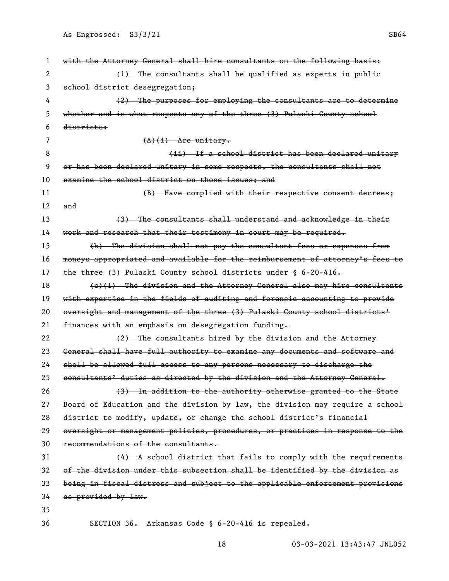| 1  | with the Attorney General shall hire consultants on the following basis:      |
|----|-------------------------------------------------------------------------------|
| 2  | $(1)$ The consultants shall be qualified as experts in public                 |
| 3  | school district desegregation;                                                |
| 4  | (2) The purposes for employing the consultants are to determine               |
| 5  | whether and in what respects any of the three (3) Pulaski County school       |
| 6  | districts:                                                                    |
| 7  | $(A)(i)$ Are unitary.                                                         |
| 8  | (ii) If a school district has been declared unitary                           |
| 9  | or has been declared unitary in some respects, the consultants shall not      |
| 10 | examine the school district on those issues; and                              |
| 11 | (B) Have complied with their respective consent decrees;                      |
| 12 | and                                                                           |
| 13 | (3) The consultants shall understand and acknowledge in their                 |
| 14 | work and research that their testimony in court may be required.              |
| 15 | (b) The division shall not pay the consultant fees or expenses from           |
| 16 | moneys appropriated and available for the reimbursement of attorney's fees to |
| 17 | the three (3) Pulaski County school districts under § 6-20-416.               |
| 18 | $(e)(1)$ The division and the Attorney General also may hire consultants      |
| 19 | with expertise in the fields of auditing and forensic accounting to provide   |
| 20 | oversight and management of the three (3) Pulaski County school districts'    |
| 21 | finances with an emphasis on desegregation funding.                           |
| 22 | (2) The consultants hired by the division and the Attorney                    |
| 23 | General shall have full authority to examine any documents and software and   |
| 24 | shall be allowed full access to any persons necessary to discharge the        |
| 25 | consultants' duties as directed by the division and the Attorney General.     |
| 26 | (3) In addition to the authority otherwise granted to the State               |
| 27 | Board of Education and the division by law, the division may require a school |
| 28 | district to modify, update, or change the school district's financial         |
| 29 | oversight or management policies, procedures, or practices in response to the |
| 30 | recommendations of the consultants.                                           |
| 31 | $(4)$ A school district that fails to comply with the requirements            |
| 32 | of the division under this subsection shall be identified by the division as  |
| 33 | being in fiscal distress and subject to the applicable enforcement provisions |
| 34 | as provided by law.                                                           |
| 35 |                                                                               |
| 36 | SECTION 36.<br>Arkansas Code § 6-20-416 is repealed.                          |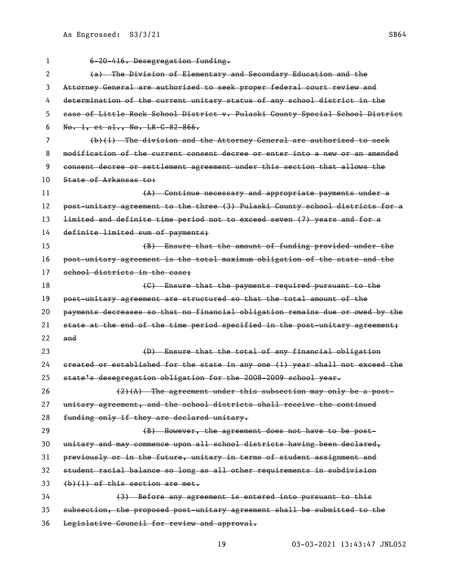| 1  | 6-20-416. Desegregation funding.                                                    |
|----|-------------------------------------------------------------------------------------|
| 2  | (a) The Division of Elementary and Secondary Education and the                      |
| 3  | Attorney General are authorized to seek proper federal court review and             |
| 4  | determination of the current unitary status of any school district in the           |
| 5  | ease of Little Rock School District v. Pulaski County Special School District       |
| 6  | No. 1, et al., No. LR-C-82-866.                                                     |
| 7  | $(b)(1)$ The division and the Attorney General are authorized to seek               |
| 8  | modification of the current consent decree or enter into a new or an amended        |
| 9  | consent decree or settlement agreement under this section that allows the           |
| 10 | State of Arkansas to:                                                               |
| 11 | (A) Continue necessary and appropriate payments under a                             |
| 12 | post-unitary agreement to the three (3) Pulaski County school districts for a       |
| 13 | <del>limited and definite time period not to exceed seven (7) years and for a</del> |
| 14 | definite limited sum of payments;                                                   |
| 15 | (B) Ensure that the amount of funding provided under the                            |
| 16 | post-unitary agreement is the total maximum obligation of the state and the         |
| 17 | school districts in the case:                                                       |
| 18 | (G) Ensure that the payments required pursuant to the                               |
| 19 | post-unitary agreement are structured so that the total amount of the               |
| 20 | payments decreases so that no financial obligation remains due or owed by the       |
| 21 | state at the end of the time period specified in the post-unitary agreement;        |
| 22 | and                                                                                 |
| 23 | (D) Ensure that the total of any financial obligation                               |
| 24 | ereated or established for the state in any one (1) year shall not exceed the       |
| 25 | state's desegregation obligation for the 2008-2009 school year.                     |
| 26 | $(2)$ (A) The agreement under this subsection may only be a post-                   |
| 27 | unitary agreement, and the school districts shall receive the continued             |
| 28 | funding only if they are declared unitary.                                          |
| 29 | (B) However, the agreement does not have to be post-                                |
| 30 | unitary and may commence upon all school districts having been declared,            |
| 31 | previously or in the future, unitary in terms of student assignment and             |
| 32 | student racial balance so long as all other requirements in subdivision             |
| 33 | $(b)(1)$ of this section are met.                                                   |
| 34 | (3) Before any agreement is entered into pursuant to this                           |
| 35 | subsection, the proposed post-unitary agreement shall be submitted to the           |
| 36 | Legislative Council for review and approval.                                        |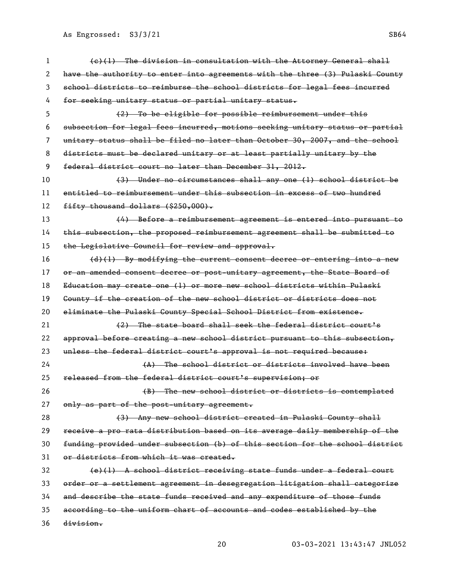| 1  | $(e)$ (1) The division in consultation with the Attorney General shall        |
|----|-------------------------------------------------------------------------------|
| 2  | have the authority to enter into agreements with the three (3) Pulaski County |
| 3  | school districts to reimburse the school districts for legal fees incurred    |
| 4  | for seeking unitary status or partial unitary status.                         |
| 5  | (2) To be eligible for possible reimbursement under this                      |
| 6  | subsection for legal fees incurred, motions seeking unitary status or partial |
| 7  | unitary status shall be filed no later than October 30, 2007, and the school  |
| 8  | districts must be declared unitary or at least partially unitary by the       |
| 9  | federal district court no later than December 31, 2012.                       |
| 10 | (3) Under no circumstances shall any one (1) school district be               |
| 11 | entitled to reimbursement under this subsection in excess of two hundred      |
| 12 | fifty thousand dollars (\$250,000).                                           |
| 13 | (4) Before a reimbursement agreement is entered into pursuant to              |
| 14 | this subsection, the proposed reimbursement agreement shall be submitted to   |
| 15 | the Legislative Council for review and approval.                              |
| 16 | $(d)$ (1) By modifying the current consent decree or entering into a new      |
| 17 | or an amended consent decree or post-unitary agreement, the State Board of    |
| 18 | Education may create one (1) or more new school districts within Pulaski      |
| 19 | County if the creation of the new school district or districts does not       |
| 20 | eliminate the Pulaski County Special School District from existence.          |
| 21 | (2) The state board shall seek the federal district court's                   |
| 22 | approval before creating a new school district pursuant to this subsection,   |
| 23 | unless the federal district court's approval is not required because:         |
| 24 | (A) The school district or districts involved have been                       |
| 25 | released from the federal district court's supervision; or                    |
| 26 | (B) The new school district or districts is contemplated                      |
| 27 | only as part of the post-unitary agreement.                                   |
| 28 | (3) Any new school district created in Pulaski County shall                   |
| 29 | receive a pro rata distribution based on its average daily membership of the  |
| 30 | funding provided under subsection (b) of this section for the school district |
| 31 | or districts from which it was created.                                       |
| 32 | (e)(1) A school district receiving state funds under a federal court          |
| 33 | order or a settlement agreement in desegregation litigation shall categorize  |
| 34 | and describe the state funds received and any expenditure of those funds      |
| 35 | according to the uniform chart of accounts and codes established by the       |
| 36 | division.                                                                     |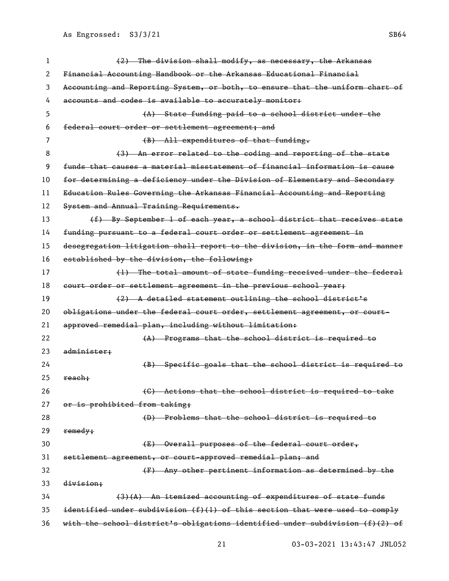(2) The division shall modify, as necessary, the Arkansas Financial Accounting Handbook or the Arkansas Educational Financial Accounting and Reporting System, or both, to ensure that the uniform chart of accounts and codes is available to accurately monitor: (A) State funding paid to a school district under the federal court order or settlement agreement; and 7 (B) All expenditures of that funding. 8 (3) An error related to the coding and reporting of the state funds that causes a material misstatement of financial information is cause for determining a deficiency under the Division of Elementary and Secondary 11 Education Rules Governing the Arkansas Financial Accounting and Reporting 12 System and Annual Training Requirements. 13 (f) By September 1 of each year, a school district that receives state funding pursuant to a federal court order or settlement agreement in desegregation litigation shall report to the division, in the form and manner established by the division, the following: 17 (1) The total amount of state funding received under the federal 18 court order or settlement agreement in the previous school year; (2) A detailed statement outlining the school district's obligations under the federal court order, settlement agreement, or court- approved remedial plan, including without limitation: 22 (A) Programs that the school district is required to administer; (B) Specific goals that the school district is required to reach: (C) Actions that the school district is required to take 27 or is prohibited from taking: (D) Problems that the school district is required to remedy; (E) Overall purposes of the federal court order, settlement agreement, or court-approved remedial plan; and (F) Any other pertinent information as determined by the division; (3)(A) An itemized accounting of expenditures of state funds identified under subdivision (f)(1) of this section that were used to comply with the school district's obligations identified under subdivision (f)(2) of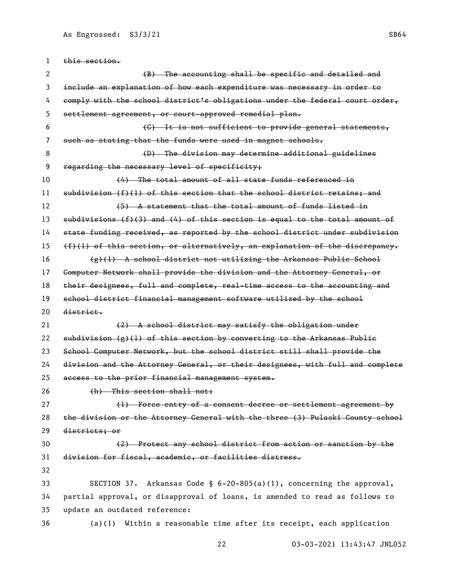this section. 2 (B) The accounting shall be specific and detailed and include an explanation of how each expenditure was necessary in order to comply with the school district's obligations under the federal court order, settlement agreement, or court-approved remedial plan. (C) It is not sufficient to provide general statements, such as stating that the funds were used in magnet schools. (D) The division may determine additional guidelines 9 regarding the necessary level of specificity; 10 (4) The total amount of all state funds referenced in 11 subdivision (f)(1) of this section that the school district retains; and 12 (5) A statement that the total amount of funds listed in subdivisions (f)(3) and (4) of this section is equal to the total amount of state funding received, as reported by the school district under subdivision  $(f)(1)$  of this section, or alternatively, an explanation of the discrepancy.  $\{f(x), f(y)\}$  A school district not utilizing the Arkansas Public School Computer Network shall provide the division and the Attorney General, or their designees, full and complete, real-time access to the accounting and school district financial management software utilized by the school district. 21 (2) A school district may satisfy the obligation under 22 subdivision  $(g)(1)$  of this section by converting to the Arkansas Public School Computer Network, but the school district still shall provide the division and the Attorney General, or their designees, with full and complete access to the prior financial management system. 26 (h) This section shall not: 27 (1) Force entry of a consent decree or settlement agreement by the division or the Attorney General with the three (3) Pulaski County school districts; or (2) Protect any school district from action or sanction by the division for fiscal, academic, or facilities distress. SECTION 37. Arkansas Code § 6-20-805(a)(1), concerning the approval, partial approval, or disapproval of loans, is amended to read as follows to update an outdated reference: (a)(1) Within a reasonable time after its receipt, each application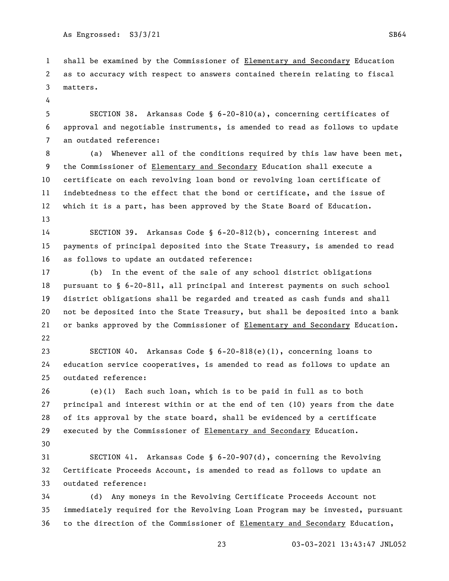shall be examined by the Commissioner of Elementary and Secondary Education as to accuracy with respect to answers contained therein relating to fiscal matters.

 SECTION 38. Arkansas Code § 6-20-810(a), concerning certificates of approval and negotiable instruments, is amended to read as follows to update an outdated reference:

 (a) Whenever all of the conditions required by this law have been met, the Commissioner of Elementary and Secondary Education shall execute a certificate on each revolving loan bond or revolving loan certificate of indebtedness to the effect that the bond or certificate, and the issue of which it is a part, has been approved by the State Board of Education. 

 SECTION 39. Arkansas Code § 6-20-812(b), concerning interest and payments of principal deposited into the State Treasury, is amended to read as follows to update an outdated reference:

 (b) In the event of the sale of any school district obligations pursuant to § 6-20-811, all principal and interest payments on such school district obligations shall be regarded and treated as cash funds and shall not be deposited into the State Treasury, but shall be deposited into a bank or banks approved by the Commissioner of Elementary and Secondary Education. 

 SECTION 40. Arkansas Code § 6-20-818(e)(1), concerning loans to education service cooperatives, is amended to read as follows to update an outdated reference:

 (e)(1) Each such loan, which is to be paid in full as to both principal and interest within or at the end of ten (10) years from the date of its approval by the state board, shall be evidenced by a certificate executed by the Commissioner of Elementary and Secondary Education. 

 SECTION 41. Arkansas Code § 6-20-907(d), concerning the Revolving Certificate Proceeds Account, is amended to read as follows to update an outdated reference:

 (d) Any moneys in the Revolving Certificate Proceeds Account not immediately required for the Revolving Loan Program may be invested, pursuant to the direction of the Commissioner of Elementary and Secondary Education,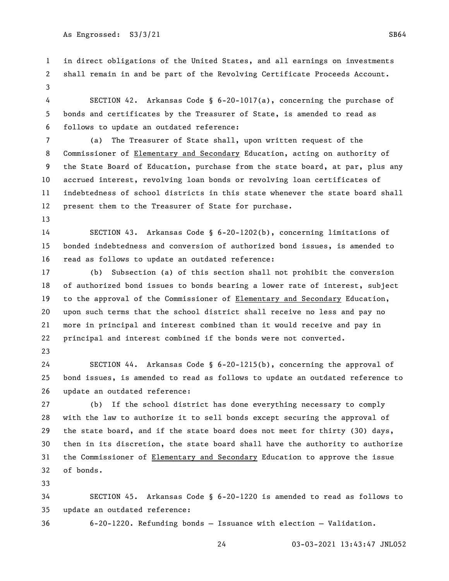in direct obligations of the United States, and all earnings on investments shall remain in and be part of the Revolving Certificate Proceeds Account. 

 SECTION 42. Arkansas Code § 6-20-1017(a), concerning the purchase of bonds and certificates by the Treasurer of State, is amended to read as follows to update an outdated reference:

 (a) The Treasurer of State shall, upon written request of the Commissioner of Elementary and Secondary Education, acting on authority of the State Board of Education, purchase from the state board, at par, plus any accrued interest, revolving loan bonds or revolving loan certificates of indebtedness of school districts in this state whenever the state board shall present them to the Treasurer of State for purchase.

 SECTION 43. Arkansas Code § 6-20-1202(b), concerning limitations of bonded indebtedness and conversion of authorized bond issues, is amended to read as follows to update an outdated reference:

 (b) Subsection (a) of this section shall not prohibit the conversion of authorized bond issues to bonds bearing a lower rate of interest, subject to the approval of the Commissioner of Elementary and Secondary Education, upon such terms that the school district shall receive no less and pay no more in principal and interest combined than it would receive and pay in principal and interest combined if the bonds were not converted.

 SECTION 44. Arkansas Code § 6-20-1215(b), concerning the approval of bond issues, is amended to read as follows to update an outdated reference to update an outdated reference:

 (b) If the school district has done everything necessary to comply with the law to authorize it to sell bonds except securing the approval of the state board, and if the state board does not meet for thirty (30) days, then in its discretion, the state board shall have the authority to authorize the Commissioner of Elementary and Secondary Education to approve the issue of bonds.

 SECTION 45. Arkansas Code § 6-20-1220 is amended to read as follows to update an outdated reference:

6-20-1220. Refunding bonds — Issuance with election — Validation.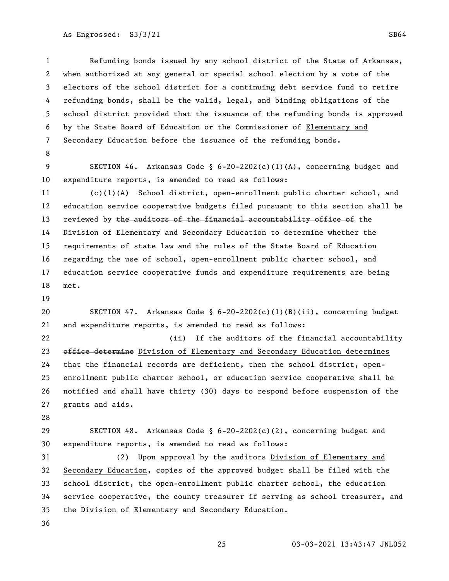Refunding bonds issued by any school district of the State of Arkansas, when authorized at any general or special school election by a vote of the electors of the school district for a continuing debt service fund to retire refunding bonds, shall be the valid, legal, and binding obligations of the school district provided that the issuance of the refunding bonds is approved by the State Board of Education or the Commissioner of Elementary and Secondary Education before the issuance of the refunding bonds.

 SECTION 46. Arkansas Code § 6-20-2202(c)(1)(A), concerning budget and expenditure reports, is amended to read as follows:

 (c)(1)(A) School district, open-enrollment public charter school, and education service cooperative budgets filed pursuant to this section shall be 13 reviewed by the auditors of the financial accountability office of the Division of Elementary and Secondary Education to determine whether the requirements of state law and the rules of the State Board of Education regarding the use of school, open-enrollment public charter school, and education service cooperative funds and expenditure requirements are being met.

 SECTION 47. Arkansas Code § 6-20-2202(c)(1)(B)(ii), concerning budget and expenditure reports, is amended to read as follows:

22 (ii) If the auditors of the financial accountability 23 office determine Division of Elementary and Secondary Education determines that the financial records are deficient, then the school district, open- enrollment public charter school, or education service cooperative shall be notified and shall have thirty (30) days to respond before suspension of the grants and aids.

 SECTION 48. Arkansas Code § 6-20-2202(c)(2), concerning budget and expenditure reports, is amended to read as follows:

31 (2) Upon approval by the auditors Division of Elementary and Secondary Education, copies of the approved budget shall be filed with the school district, the open-enrollment public charter school, the education service cooperative, the county treasurer if serving as school treasurer, and the Division of Elementary and Secondary Education.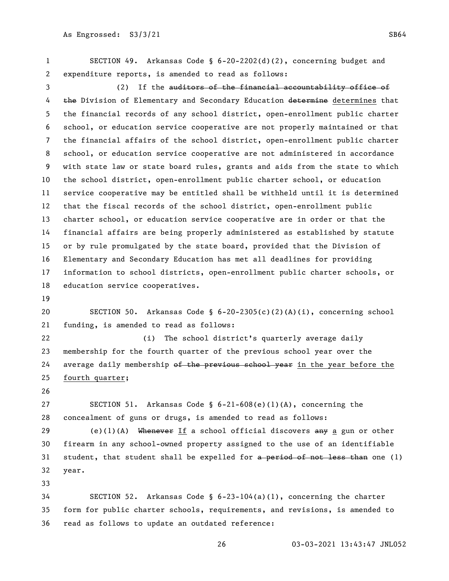SECTION 49. Arkansas Code § 6-20-2202(d)(2), concerning budget and expenditure reports, is amended to read as follows:

 (2) If the auditors of the financial accountability office of 4 the Division of Elementary and Secondary Education determine determines that the financial records of any school district, open-enrollment public charter school, or education service cooperative are not properly maintained or that the financial affairs of the school district, open-enrollment public charter school, or education service cooperative are not administered in accordance with state law or state board rules, grants and aids from the state to which the school district, open-enrollment public charter school, or education service cooperative may be entitled shall be withheld until it is determined that the fiscal records of the school district, open-enrollment public charter school, or education service cooperative are in order or that the financial affairs are being properly administered as established by statute or by rule promulgated by the state board, provided that the Division of Elementary and Secondary Education has met all deadlines for providing information to school districts, open-enrollment public charter schools, or education service cooperatives.

 SECTION 50. Arkansas Code § 6-20-2305(c)(2)(A)(i), concerning school funding, is amended to read as follows:

 (i) The school district's quarterly average daily membership for the fourth quarter of the previous school year over the 24 average daily membership of the previous school year in the year before the fourth quarter;

 SECTION 51. Arkansas Code § 6-21-608(e)(1)(A), concerning the concealment of guns or drugs, is amended to read as follows:

29 (e)(1)(A) Whenever If a school official discovers  $\frac{1}{2}$  a gun or other firearm in any school-owned property assigned to the use of an identifiable 31 student, that student shall be expelled for  $a$  period of not less than one (1) year.

 SECTION 52. Arkansas Code § 6-23-104(a)(1), concerning the charter form for public charter schools, requirements, and revisions, is amended to read as follows to update an outdated reference: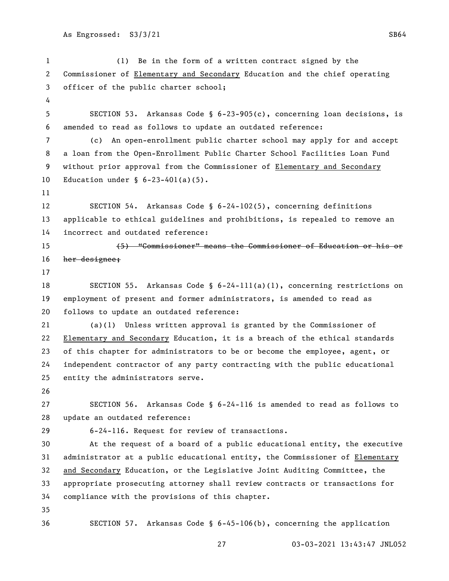(1) Be in the form of a written contract signed by the Commissioner of Elementary and Secondary Education and the chief operating officer of the public charter school; SECTION 53. Arkansas Code § 6-23-905(c), concerning loan decisions, is amended to read as follows to update an outdated reference: (c) An open-enrollment public charter school may apply for and accept a loan from the Open-Enrollment Public Charter School Facilities Loan Fund without prior approval from the Commissioner of Elementary and Secondary Education under § 6-23-401(a)(5). SECTION 54. Arkansas Code § 6-24-102(5), concerning definitions applicable to ethical guidelines and prohibitions, is repealed to remove an incorrect and outdated reference: (5) "Commissioner" means the Commissioner of Education or his or her designee; 18 SECTION 55. Arkansas Code § 6-24-111(a)(1), concerning restrictions on employment of present and former administrators, is amended to read as follows to update an outdated reference: (a)(1) Unless written approval is granted by the Commissioner of Elementary and Secondary Education, it is a breach of the ethical standards of this chapter for administrators to be or become the employee, agent, or independent contractor of any party contracting with the public educational entity the administrators serve. SECTION 56. Arkansas Code § 6-24-116 is amended to read as follows to update an outdated reference: 6-24-116. Request for review of transactions. At the request of a board of a public educational entity, the executive administrator at a public educational entity, the Commissioner of Elementary and Secondary Education, or the Legislative Joint Auditing Committee, the appropriate prosecuting attorney shall review contracts or transactions for compliance with the provisions of this chapter. SECTION 57. Arkansas Code § 6-45-106(b), concerning the application